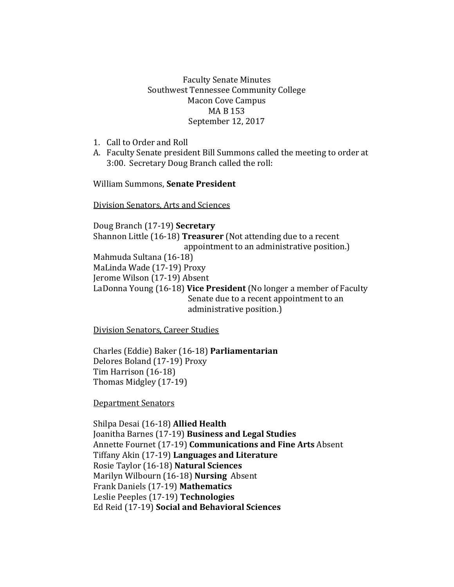## Faculty Senate Minutes Southwest Tennessee Community College Macon Cove Campus MA B 153 September 12, 2017

- 1. Call to Order and Roll
- A. Faculty Senate president Bill Summons called the meeting to order at 3:00. Secretary Doug Branch called the roll:

William Summons, **Senate President**

Division Senators, Arts and Sciences

Doug Branch (17-19) **Secretary** Shannon Little (16-18) **Treasurer** (Not attending due to a recent appointment to an administrative position.) Mahmuda Sultana (16-18) MaLinda Wade (17-19) Proxy Jerome Wilson (17-19) Absent LaDonna Young (16-18) **Vice President** (No longer a member of Faculty Senate due to a recent appointment to an administrative position.)

Division Senators, Career Studies

Charles (Eddie) Baker (16-18) **Parliamentarian** Delores Boland (17-19) Proxy Tim Harrison (16-18) Thomas Midgley (17-19)

Department Senators

Shilpa Desai (16-18) **Allied Health** Joanitha Barnes (17-19) **Business and Legal Studies** Annette Fournet (17-19) **Communications and Fine Arts** Absent Tiffany Akin (17-19) **Languages and Literature** Rosie Taylor (16-18) **Natural Sciences**  Marilyn Wilbourn (16-18) **Nursing** Absent Frank Daniels (17-19) **Mathematics** Leslie Peeples (17-19) **Technologies**  Ed Reid (17-19) **Social and Behavioral Sciences**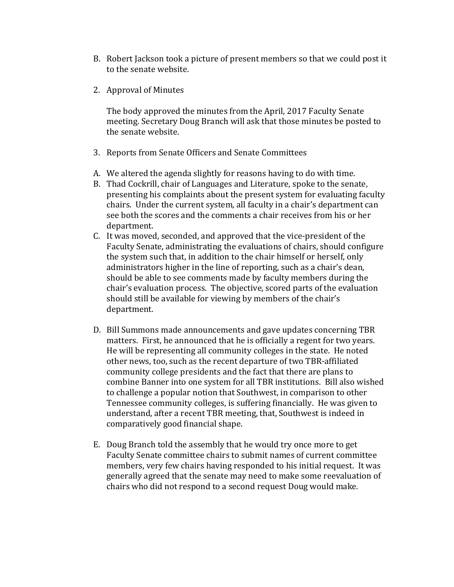- B. Robert Jackson took a picture of present members so that we could post it to the senate website.
- 2. Approval of Minutes

The body approved the minutes from the April, 2017 Faculty Senate meeting. Secretary Doug Branch will ask that those minutes be posted to the senate website.

- 3. Reports from Senate Officers and Senate Committees
- A. We altered the agenda slightly for reasons having to do with time.
- B. Thad Cockrill, chair of Languages and Literature, spoke to the senate, presenting his complaints about the present system for evaluating faculty chairs. Under the current system, all faculty in a chair's department can see both the scores and the comments a chair receives from his or her department.
- C. It was moved, seconded, and approved that the vice-president of the Faculty Senate, administrating the evaluations of chairs, should configure the system such that, in addition to the chair himself or herself, only administrators higher in the line of reporting, such as a chair's dean, should be able to see comments made by faculty members during the chair's evaluation process. The objective, scored parts of the evaluation should still be available for viewing by members of the chair's department.
- D. Bill Summons made announcements and gave updates concerning TBR matters. First, he announced that he is officially a regent for two years. He will be representing all community colleges in the state. He noted other news, too, such as the recent departure of two TBR-affiliated community college presidents and the fact that there are plans to combine Banner into one system for all TBR institutions. Bill also wished to challenge a popular notion that Southwest, in comparison to other Tennessee community colleges, is suffering financially. He was given to understand, after a recent TBR meeting, that, Southwest is indeed in comparatively good financial shape.
- E. Doug Branch told the assembly that he would try once more to get Faculty Senate committee chairs to submit names of current committee members, very few chairs having responded to his initial request. It was generally agreed that the senate may need to make some reevaluation of chairs who did not respond to a second request Doug would make.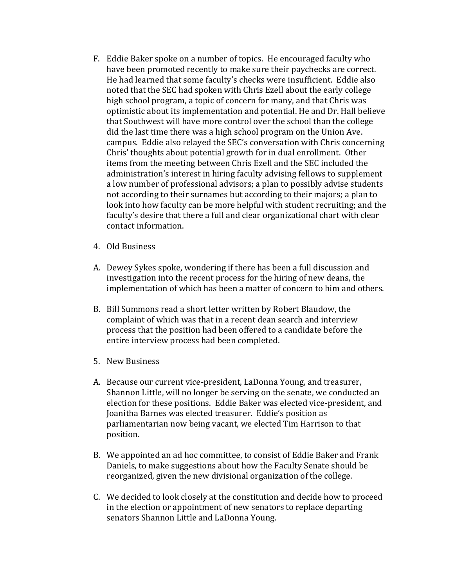- F. Eddie Baker spoke on a number of topics. He encouraged faculty who have been promoted recently to make sure their paychecks are correct. He had learned that some faculty's checks were insufficient. Eddie also noted that the SEC had spoken with Chris Ezell about the early college high school program, a topic of concern for many, and that Chris was optimistic about its implementation and potential. He and Dr. Hall believe that Southwest will have more control over the school than the college did the last time there was a high school program on the Union Ave. campus. Eddie also relayed the SEC's conversation with Chris concerning Chris' thoughts about potential growth for in dual enrollment. Other items from the meeting between Chris Ezell and the SEC included the administration's interest in hiring faculty advising fellows to supplement a low number of professional advisors; a plan to possibly advise students not according to their surnames but according to their majors; a plan to look into how faculty can be more helpful with student recruiting; and the faculty's desire that there a full and clear organizational chart with clear contact information.
- 4. Old Business
- A. Dewey Sykes spoke, wondering if there has been a full discussion and investigation into the recent process for the hiring of new deans, the implementation of which has been a matter of concern to him and others.
- B. Bill Summons read a short letter written by Robert Blaudow, the complaint of which was that in a recent dean search and interview process that the position had been offered to a candidate before the entire interview process had been completed.
- 5. New Business
- A. Because our current vice-president, LaDonna Young, and treasurer, Shannon Little, will no longer be serving on the senate, we conducted an election for these positions. Eddie Baker was elected vice-president, and Joanitha Barnes was elected treasurer. Eddie's position as parliamentarian now being vacant, we elected Tim Harrison to that position.
- B. We appointed an ad hoc committee, to consist of Eddie Baker and Frank Daniels, to make suggestions about how the Faculty Senate should be reorganized, given the new divisional organization of the college.
- C. We decided to look closely at the constitution and decide how to proceed in the election or appointment of new senators to replace departing senators Shannon Little and LaDonna Young.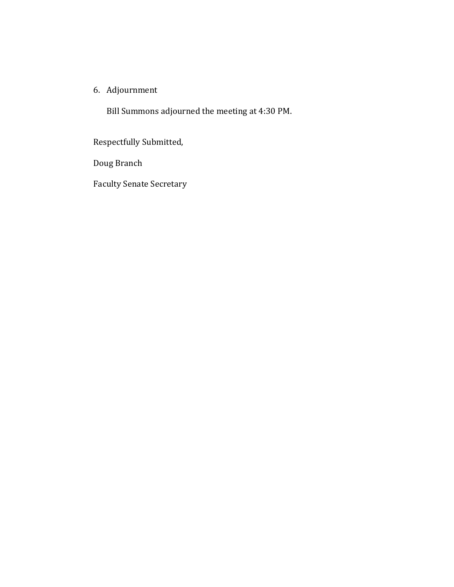6. Adjournment

Bill Summons adjourned the meeting at 4:30 PM.

Respectfully Submitted,

Doug Branch

Faculty Senate Secretary